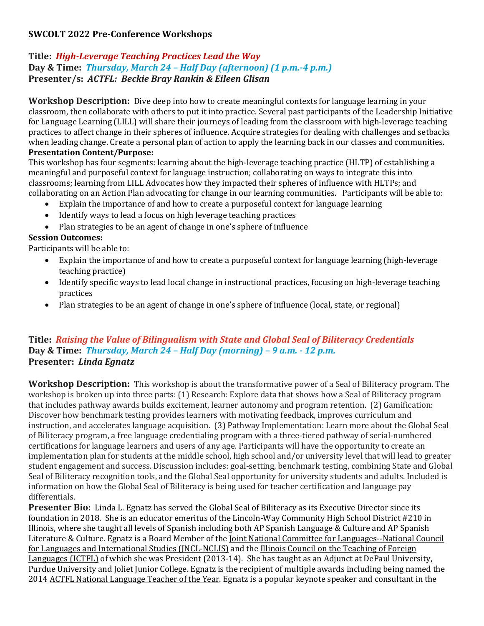# **SWCOLT 2022 Pre-Conference Workshops**

## **Title:** *High-Leverage Teaching Practices Lead the Way* **Day & Time:** *Thursday, March 24 – Half Day (afternoon) (1 p.m.-4 p.m.)* **Presenter/s:** *ACTFL: Beckie Bray Rankin & Eileen Glisan*

**Workshop Description:** Dive deep into how to create meaningful contexts for language learning in your classroom, then collaborate with others to put it into practice. Several past participants of the Leadership Initiative for Language Learning (LILL) will share their journeys of leading from the classroom with high-leverage teaching practices to affect change in their spheres of influence. Acquire strategies for dealing with challenges and setbacks when leading change. Create a personal plan of action to apply the learning back in our classes and communities. **Presentation Content/Purpose:**

This workshop has four segments: learning about the high-leverage teaching practice (HLTP) of establishing a meaningful and purposeful context for language instruction; collaborating on ways to integrate this into classrooms; learning from LILL Advocates how they impacted their spheres of influence with HLTPs; and collaborating on an Action Plan advocating for change in our learning communities. Participants will be able to:

- Explain the importance of and how to create a purposeful context for language learning
- Identify ways to lead a focus on high leverage teaching practices
- Plan strategies to be an agent of change in one's sphere of influence

### **Session Outcomes:**

Participants will be able to:

- Explain the importance of and how to create a purposeful context for language learning (high-leverage teaching practice)
- Identify specific ways to lead local change in instructional practices, focusing on high-leverage teaching practices
- Plan strategies to be an agent of change in one's sphere of influence (local, state, or regional)

### **Title:** *Raising the Value of Bilingualism with State and Global Seal of Biliteracy Credentials* **Day & Time:** *Thursday, March 24 – Half Day (morning) – 9 a.m. - 12 p.m.* **Presenter:** *Linda Egnatz*

**Workshop Description:** This workshop is about the transformative power of a Seal of Biliteracy program. The workshop is broken up into three parts: (1) Research: Explore data that shows how a Seal of Biliteracy program that includes pathway awards builds excitement, learner autonomy and program retention. (2) Gamification: Discover how benchmark testing provides learners with motivating feedback, improves curriculum and instruction, and accelerates language acquisition. (3) Pathway Implementation: Learn more about the Global Seal of Biliteracy program, a free language credentialing program with a three-tiered pathway of serial-numbered certifications for language learners and users of any age. Participants will have the opportunity to create an implementation plan for students at the middle school, high school and/or university level that will lead to greater student engagement and success. Discussion includes: goal-setting, benchmark testing, combining State and Global Seal of Biliteracy recognition tools, and the Global Seal opportunity for university students and adults. Included is information on how the Global Seal of Biliteracy is being used for teacher certification and language pay differentials.

**Presenter Bio:** Linda L. Egnatz has served the Global Seal of Biliteracy as its Executive Director since its foundation in 2018. She is an educator emeritus of the Lincoln-Way Community High School District #210 in Illinois, where she taught all levels of Spanish including both AP Spanish Language & Culture and AP Spanish Literature & Culture. Egnatz is a Board Member of the [Joint National Committee for Languages--National Council](http://languagepolicy.org/)  [for Languages and International Studies \(JNCL-NCLIS\)](http://languagepolicy.org/) and the [Illinois Council on the Teaching of Foreign](http://www.ictfl.org/)  [Languages \(ICTFL\)](http://www.ictfl.org/) of which she was President (2013-14). She has taught as an Adjunct at DePaul University, Purdue University and Joliet Junior College. Egnatz is the recipient of multiple awards including being named the 2014 [ACTFL National Language Teacher of the Year.](https://www.actfl.org/about-the-american-council-the-teaching-foreign-languages/teacher-the-year-program) Egnatz is a popular keynote speaker and consultant in the